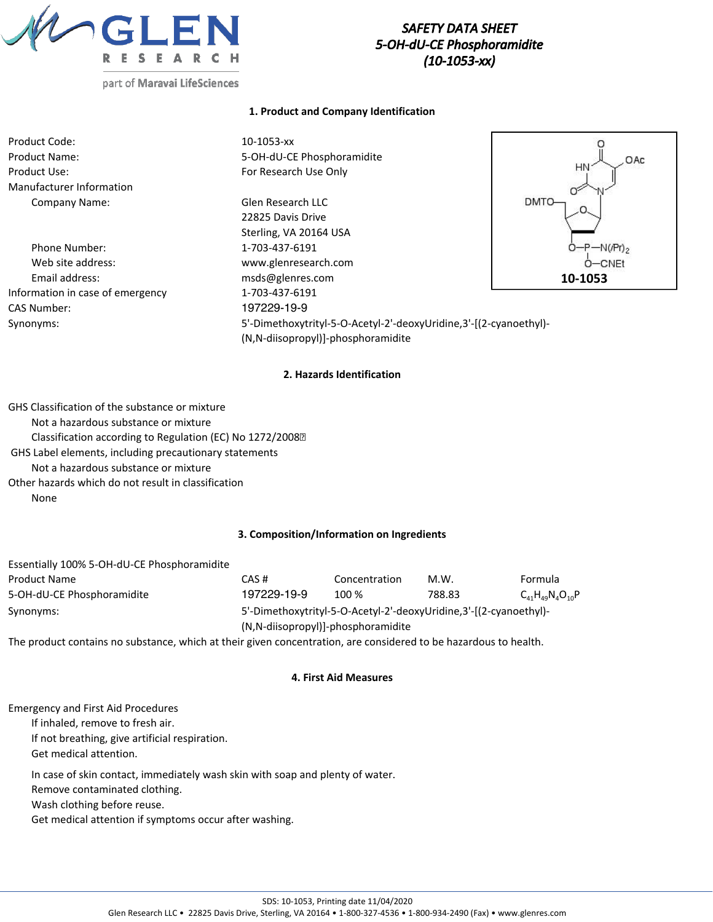

# *SAFETY DATA SHEET 5-OH-dU-CE Phosphoramidite (10-1053-xx)*

### **1. Product and Company Identification**

| Product Code:                    | $10 - 1053 - xx$                                                  |             |
|----------------------------------|-------------------------------------------------------------------|-------------|
| <b>Product Name:</b>             | 5-OH-dU-CE Phosphoramidite                                        | .OAc        |
| Product Use:                     | For Research Use Only                                             | HN          |
| Manufacturer Information         |                                                                   |             |
| Company Name:                    | Glen Research LLC                                                 | DMTO        |
|                                  | 22825 Davis Drive                                                 |             |
|                                  | Sterling, VA 20164 USA                                            |             |
| Phone Number:                    | 1-703-437-6191                                                    | $O-P-N(Pr)$ |
| Web site address:                | www.glenresearch.com                                              | $O$ –CNEt   |
| Email address:                   | msds@glenres.com                                                  | 10-1053     |
| Information in case of emergency | 1-703-437-6191                                                    |             |
| <b>CAS Number:</b>               | 197229-19-9                                                       |             |
| Synonyms:                        | 5'-Dimethoxytrityl-5-O-Acetyl-2'-deoxyUridine,3'-[(2-cyanoethyl)- |             |

**2. Hazards Identification**

(N,N-diisopropyl)]-phosphoramidite

GHS Classification of the substance or mixture Not a hazardous substance or mixture Classification according to Regulation (EC) No 1272/2008 GHS Label elements, including precautionary statements Not a hazardous substance or mixture Other hazards which do not result in classification None

### **3. Composition/Information on Ingredients**

| Essentially 100% 5-OH-dU-CE Phosphoramidite |                                    |                                                                   |        |                            |  |
|---------------------------------------------|------------------------------------|-------------------------------------------------------------------|--------|----------------------------|--|
| Product Name                                | CAS #                              | Concentration                                                     | M.W.   | Formula                    |  |
| 5-OH-dU-CE Phosphoramidite                  | 197229-19-9                        | $100\%$                                                           | 788.83 | $C_{41}H_{49}N_{4}O_{10}P$ |  |
| Synonyms:                                   |                                    | 5'-Dimethoxytrityl-5-O-Acetyl-2'-deoxyUridine.3'-[(2-cyanoethyl)- |        |                            |  |
|                                             | (N,N-diisopropyl)]-phosphoramidite |                                                                   |        |                            |  |

The product contains no substance, which at their given concentration, are considered to be hazardous to health.

#### **4. First Aid Measures**

Emergency and First Aid Procedures

If inhaled, remove to fresh air.

If not breathing, give artificial respiration.

Get medical attention.

In case of skin contact, immediately wash skin with soap and plenty of water.

Remove contaminated clothing.

Wash clothing before reuse.

Get medical attention if symptoms occur after washing.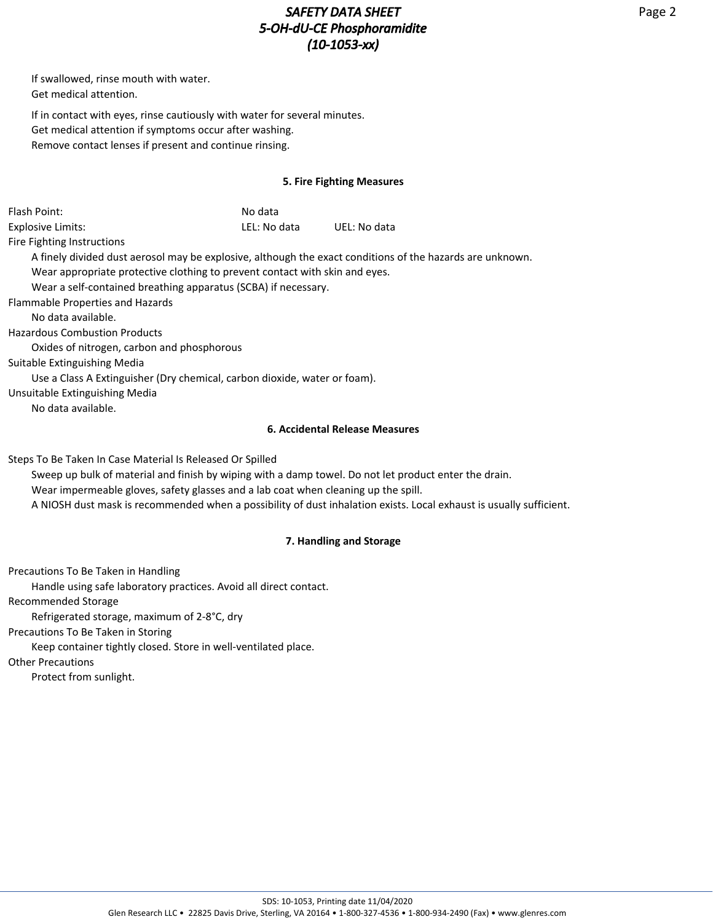# *SAFETY DATA SHEET 5-OH-dU-CE Phosphoramidite (10-1053-xx)*

If swallowed, rinse mouth with water. Get medical attention.

If in contact with eyes, rinse cautiously with water for several minutes. Get medical attention if symptoms occur after washing. Remove contact lenses if present and continue rinsing.

### **5. Fire Fighting Measures**

| Flash Point:                                              | No data                                                                            |                                                                                                                     |
|-----------------------------------------------------------|------------------------------------------------------------------------------------|---------------------------------------------------------------------------------------------------------------------|
| <b>Explosive Limits:</b>                                  | LEL: No data                                                                       | UEL: No data                                                                                                        |
| Fire Fighting Instructions                                |                                                                                    |                                                                                                                     |
|                                                           |                                                                                    | A finely divided dust aerosol may be explosive, although the exact conditions of the hazards are unknown.           |
|                                                           | Wear appropriate protective clothing to prevent contact with skin and eyes.        |                                                                                                                     |
|                                                           | Wear a self-contained breathing apparatus (SCBA) if necessary.                     |                                                                                                                     |
| Flammable Properties and Hazards                          |                                                                                    |                                                                                                                     |
| No data available.                                        |                                                                                    |                                                                                                                     |
| <b>Hazardous Combustion Products</b>                      |                                                                                    |                                                                                                                     |
| Oxides of nitrogen, carbon and phosphorous                |                                                                                    |                                                                                                                     |
| Suitable Extinguishing Media                              |                                                                                    |                                                                                                                     |
|                                                           | Use a Class A Extinguisher (Dry chemical, carbon dioxide, water or foam).          |                                                                                                                     |
| Unsuitable Extinguishing Media                            |                                                                                    |                                                                                                                     |
| No data available.                                        |                                                                                    |                                                                                                                     |
|                                                           |                                                                                    | <b>6. Accidental Release Measures</b>                                                                               |
| Steps To Be Taken In Case Material Is Released Or Spilled |                                                                                    |                                                                                                                     |
|                                                           |                                                                                    | Sweep up bulk of material and finish by wiping with a damp towel. Do not let product enter the drain.               |
|                                                           | Wear impermeable gloves, safety glasses and a lab coat when cleaning up the spill. |                                                                                                                     |
|                                                           |                                                                                    | A NIOSH dust mask is recommended when a possibility of dust inhalation exists. Local exhaust is usually sufficient. |
|                                                           |                                                                                    | 7. Handling and Storage                                                                                             |

Precautions To Be Taken in Handling

Handle using safe laboratory practices. Avoid all direct contact.

Recommended Storage

Refrigerated storage, maximum of 2-8°C, dry

Precautions To Be Taken in Storing

Keep container tightly closed. Store in well-ventilated place.

Other Precautions

Protect from sunlight.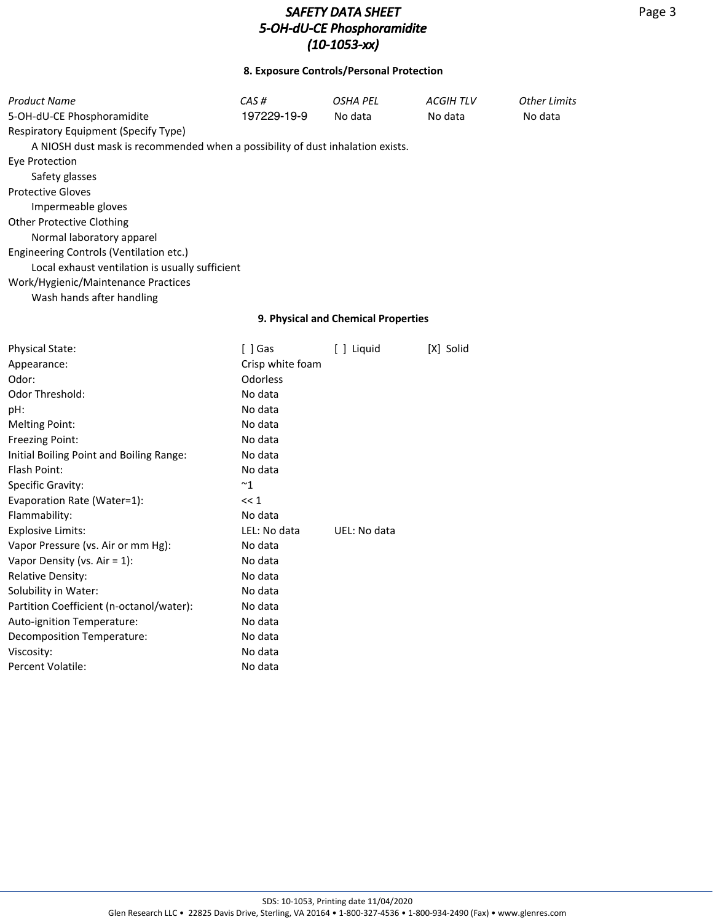## **8. Exposure Controls/Personal Protection**

| <b>Product Name</b>                                                            | CAS#             | <b>OSHA PEL</b>                     | <b>ACGIHTLV</b> | Other Limits |
|--------------------------------------------------------------------------------|------------------|-------------------------------------|-----------------|--------------|
| 5-OH-dU-CE Phosphoramidite                                                     | 197229-19-9      | No data                             | No data         | No data      |
| Respiratory Equipment (Specify Type)                                           |                  |                                     |                 |              |
| A NIOSH dust mask is recommended when a possibility of dust inhalation exists. |                  |                                     |                 |              |
| <b>Eye Protection</b>                                                          |                  |                                     |                 |              |
| Safety glasses                                                                 |                  |                                     |                 |              |
| <b>Protective Gloves</b>                                                       |                  |                                     |                 |              |
| Impermeable gloves                                                             |                  |                                     |                 |              |
| <b>Other Protective Clothing</b>                                               |                  |                                     |                 |              |
| Normal laboratory apparel                                                      |                  |                                     |                 |              |
| Engineering Controls (Ventilation etc.)                                        |                  |                                     |                 |              |
| Local exhaust ventilation is usually sufficient                                |                  |                                     |                 |              |
| Work/Hygienic/Maintenance Practices                                            |                  |                                     |                 |              |
| Wash hands after handling                                                      |                  |                                     |                 |              |
|                                                                                |                  | 9. Physical and Chemical Properties |                 |              |
| Physical State:                                                                | $[ ]$ Gas        | [ ] Liquid                          | [X] Solid       |              |
| Appearance:                                                                    | Crisp white foam |                                     |                 |              |
| Odor:                                                                          | Odorless         |                                     |                 |              |
| Odor Threshold:                                                                | No data          |                                     |                 |              |
| pH:                                                                            | No data          |                                     |                 |              |
| <b>Melting Point:</b>                                                          | No data          |                                     |                 |              |
| Freezing Point:                                                                | No data          |                                     |                 |              |
| Initial Boiling Point and Boiling Range:                                       | No data          |                                     |                 |              |
| Flash Point:                                                                   | No data          |                                     |                 |              |
| Specific Gravity:                                                              | ~1               |                                     |                 |              |
| Evaporation Rate (Water=1):                                                    | << 1             |                                     |                 |              |
| Flammability:                                                                  | No data          |                                     |                 |              |
| <b>Explosive Limits:</b>                                                       | LEL: No data     | UEL: No data                        |                 |              |
| Vapor Pressure (vs. Air or mm Hg):                                             | No data          |                                     |                 |              |
| Vapor Density (vs. Air = $1$ ):                                                | No data          |                                     |                 |              |
| <b>Relative Density:</b>                                                       | No data          |                                     |                 |              |
| Solubility in Water:                                                           | No data          |                                     |                 |              |
| Partition Coefficient (n-octanol/water):                                       | No data          |                                     |                 |              |
| Auto-ignition Temperature:                                                     | No data          |                                     |                 |              |
| Decomposition Temperature:                                                     | No data          |                                     |                 |              |
| Viscosity:                                                                     | No data          |                                     |                 |              |

Percent Volatile: No data

Page 3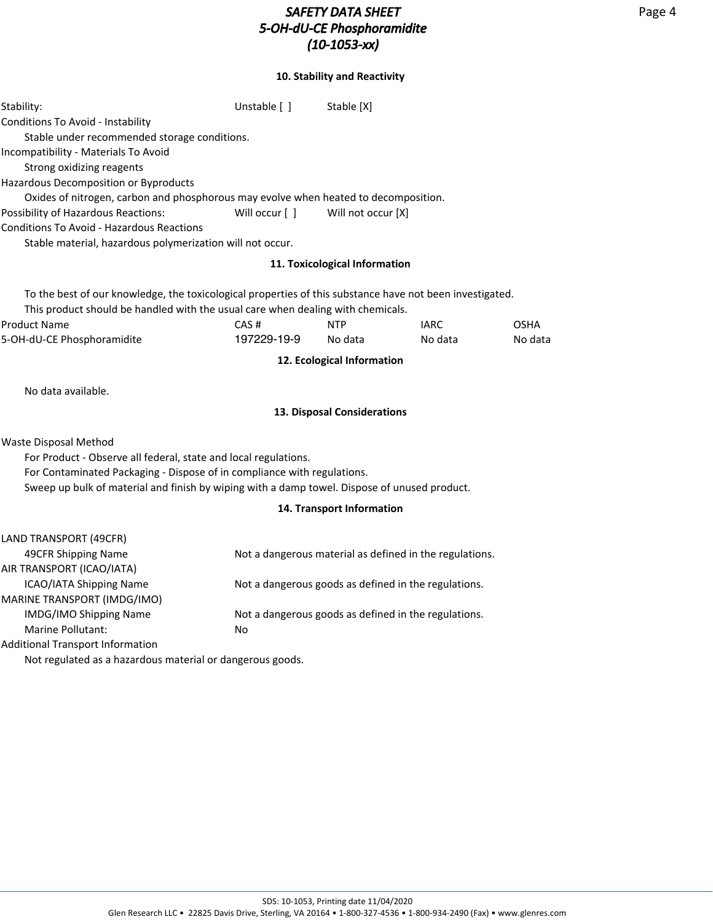# *SAFETY DATA SHEET 5-OH-dU-CE Phosphoramidite (10-1053-xx)*

## **10. Stability and Reactivity**

| Stability:                                                                                               | Unstable [ ]        | Stable [X]                    |                                                         |                        |
|----------------------------------------------------------------------------------------------------------|---------------------|-------------------------------|---------------------------------------------------------|------------------------|
| Conditions To Avoid - Instability                                                                        |                     |                               |                                                         |                        |
| Stable under recommended storage conditions.                                                             |                     |                               |                                                         |                        |
| Incompatibility - Materials To Avoid                                                                     |                     |                               |                                                         |                        |
| Strong oxidizing reagents                                                                                |                     |                               |                                                         |                        |
| Hazardous Decomposition or Byproducts                                                                    |                     |                               |                                                         |                        |
| Oxides of nitrogen, carbon and phosphorous may evolve when heated to decomposition.                      |                     |                               |                                                         |                        |
| Possibility of Hazardous Reactions:                                                                      | Will occur [ ]      | Will not occur [X]            |                                                         |                        |
| <b>Conditions To Avoid - Hazardous Reactions</b>                                                         |                     |                               |                                                         |                        |
| Stable material, hazardous polymerization will not occur.                                                |                     |                               |                                                         |                        |
|                                                                                                          |                     | 11. Toxicological Information |                                                         |                        |
| To the best of our knowledge, the toxicological properties of this substance have not been investigated. |                     |                               |                                                         |                        |
| This product should be handled with the usual care when dealing with chemicals.                          |                     |                               |                                                         |                        |
| <b>Product Name</b><br>5-OH-dU-CE Phosphoramidite                                                        | CAS#<br>197229-19-9 | <b>NTP</b><br>No data         | <b>IARC</b><br>No data                                  | <b>OSHA</b><br>No data |
|                                                                                                          |                     |                               |                                                         |                        |
|                                                                                                          |                     | 12. Ecological Information    |                                                         |                        |
| No data available.                                                                                       |                     |                               |                                                         |                        |
|                                                                                                          |                     | 13. Disposal Considerations   |                                                         |                        |
| Waste Disposal Method                                                                                    |                     |                               |                                                         |                        |
| For Product - Observe all federal, state and local regulations.                                          |                     |                               |                                                         |                        |
| For Contaminated Packaging - Dispose of in compliance with regulations.                                  |                     |                               |                                                         |                        |
| Sweep up bulk of material and finish by wiping with a damp towel. Dispose of unused product.             |                     |                               |                                                         |                        |
|                                                                                                          |                     | 14. Transport Information     |                                                         |                        |
| LAND TRANSPORT (49CFR)                                                                                   |                     |                               |                                                         |                        |
| 49CFR Shipping Name                                                                                      |                     |                               | Not a dangerous material as defined in the regulations. |                        |
| AIR TRANSPORT (ICAO/IATA)                                                                                |                     |                               |                                                         |                        |
| <b>ICAO/IATA Shipping Name</b>                                                                           |                     |                               | Not a dangerous goods as defined in the regulations.    |                        |
| MARINE TRANSPORT (IMDG/IMO)                                                                              |                     |                               |                                                         |                        |
| IMDG/IMO Shipping Name                                                                                   |                     |                               | Not a dangerous goods as defined in the regulations.    |                        |
| <b>Marine Pollutant:</b>                                                                                 | No                  |                               |                                                         |                        |
| <b>Additional Transport Information</b>                                                                  |                     |                               |                                                         |                        |

Not regulated as a hazardous material or dangerous goods.